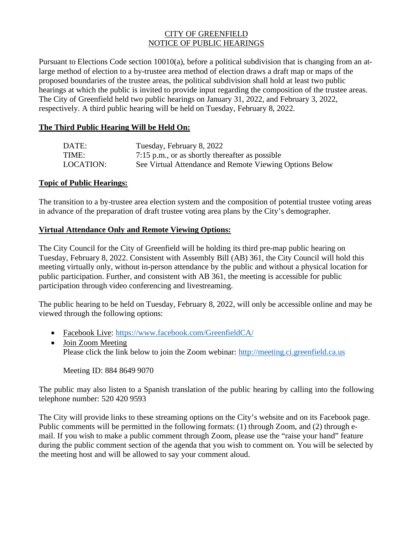## CITY OF GREENFIELD NOTICE OF PUBLIC HEARINGS

Pursuant to Elections Code section 10010(a), before a political subdivision that is changing from an atlarge method of election to a by-trustee area method of election draws a draft map or maps of the proposed boundaries of the trustee areas, the political subdivision shall hold at least two public hearings at which the public is invited to provide input regarding the composition of the trustee areas. The City of Greenfield held two public hearings on January 31, 2022, and February 3, 2022, respectively. A third public hearing will be held on Tuesday, February 8, 2022.

## **The Third Public Hearing Will be Held On:**

| DATE:     | Tuesday, February 8, 2022                               |
|-----------|---------------------------------------------------------|
| TIME:     | $7:15$ p.m., or as shortly thereafter as possible       |
| LOCATION: | See Virtual Attendance and Remote Viewing Options Below |

## **Topic of Public Hearings:**

The transition to a by-trustee area election system and the composition of potential trustee voting areas in advance of the preparation of draft trustee voting area plans by the City's demographer.

## **Virtual Attendance Only and Remote Viewing Options:**

The City Council for the City of Greenfield will be holding its third pre-map public hearing on Tuesday, February 8, 2022. Consistent with Assembly Bill (AB) 361, the City Council will hold this meeting virtually only, without in-person attendance by the public and without a physical location for public participation. Further, and consistent with AB 361, the meeting is accessible for public participation through video conferencing and livestreaming.

The public hearing to be held on Tuesday, February 8, 2022, will only be accessible online and may be viewed through the following options:

- Facebook Live:<https://www.facebook.com/GreenfieldCA/>
- Join Zoom Meeting Please click the link below to join the Zoom webinar: [http://meeting.ci.greenfield.ca.us](http://meeting.ci.greenfield.ca.us/)

Meeting ID: 884 8649 9070

The public may also listen to a Spanish translation of the public hearing by calling into the following telephone number: 520 420 9593

The City will provide links to these streaming options on the City's website and on its Facebook page. Public comments will be permitted in the following formats: (1) through Zoom, and (2) through email. If you wish to make a public comment through Zoom, please use the "raise your hand" feature during the public comment section of the agenda that you wish to comment on. You will be selected by the meeting host and will be allowed to say your comment aloud.